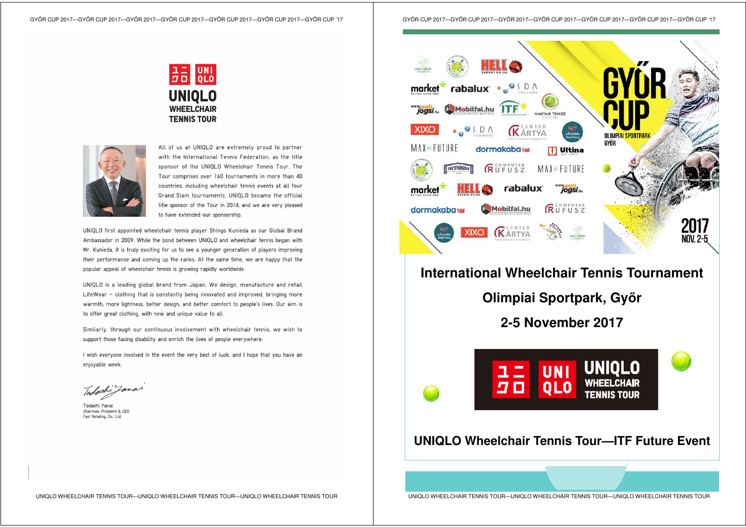GYŐR CUP 2017—GYŐR CUP 2017—GYŐR 2017—GYŐR CUP 2017—GYŐR CUP 2017—GYŐR CUP 2017—GYŐR CUP '17





All of us at UNIQLO are extremely proud to partner with the International Tennis Federation as the title sponsor of the UNIOLO Wheelchair Tennis Tour. The Tour comprises over 160 tournaments in more than 40 countries, including wheelchair tennis events at all four Grand Slam tournaments. UNIOLO became the official title sponsor of the Tour in 2014, and we are very pleased to have extended our sponsorship

UNIQLO first appointed wheelchair tennis player Shingo Kunieda as our Global Brand Ambassador in 2009. While the bond between UNIOLO and wheelchair tennis began with Mr. Kunieda, it is truly exciting for us to see a younger generation of players improving their performance and coming up the ranks. At the same time, we are happy that the popular appeal of wheelchair tennis is growing rapidly worldwide.

UNIOLO is a leading global brand from Japan. We design, manufacture and retail LifeWear - clothing that is constantly being innovated and improved, bringing more warmth, more lightness, better design, and better comfort to people's lives. Our aim is to offer great clothing, with new and unique value to all.

Similarly, through our continuous involvement with wheelchair tennis, we wish to support those facing disability and enrich the lives of people everywhere.

I wish everyone involved in the event the very best of luck, and I hope that you have an enjoyable week.

Tadashi Jane

Tadashi Yanai Chairman, President & CEO Fast Retailing, Co., Ltd.



## **International Wheelchair Tennis Tournament**

**Olimpiai Sportpark, Győ<sup>r</sup>**

**2-5 November 2017** 



## **UNIQLO Wheelchair Tennis Tour—ITF Future Event**

UNIQLO WHEELCHAIR TENNIS TOUR—UNIQLO WHEELCHAIR TENNIS TOUR—UNIQLO WHEELCHAIR TENNIS TOUR

UNIQLO WHEELCHAIR TENNIS TOUR—UNIQLO WHEELCHAIR TENNIS TOUR—UNIQLO WHEELCHAIR TENNIS TOUR